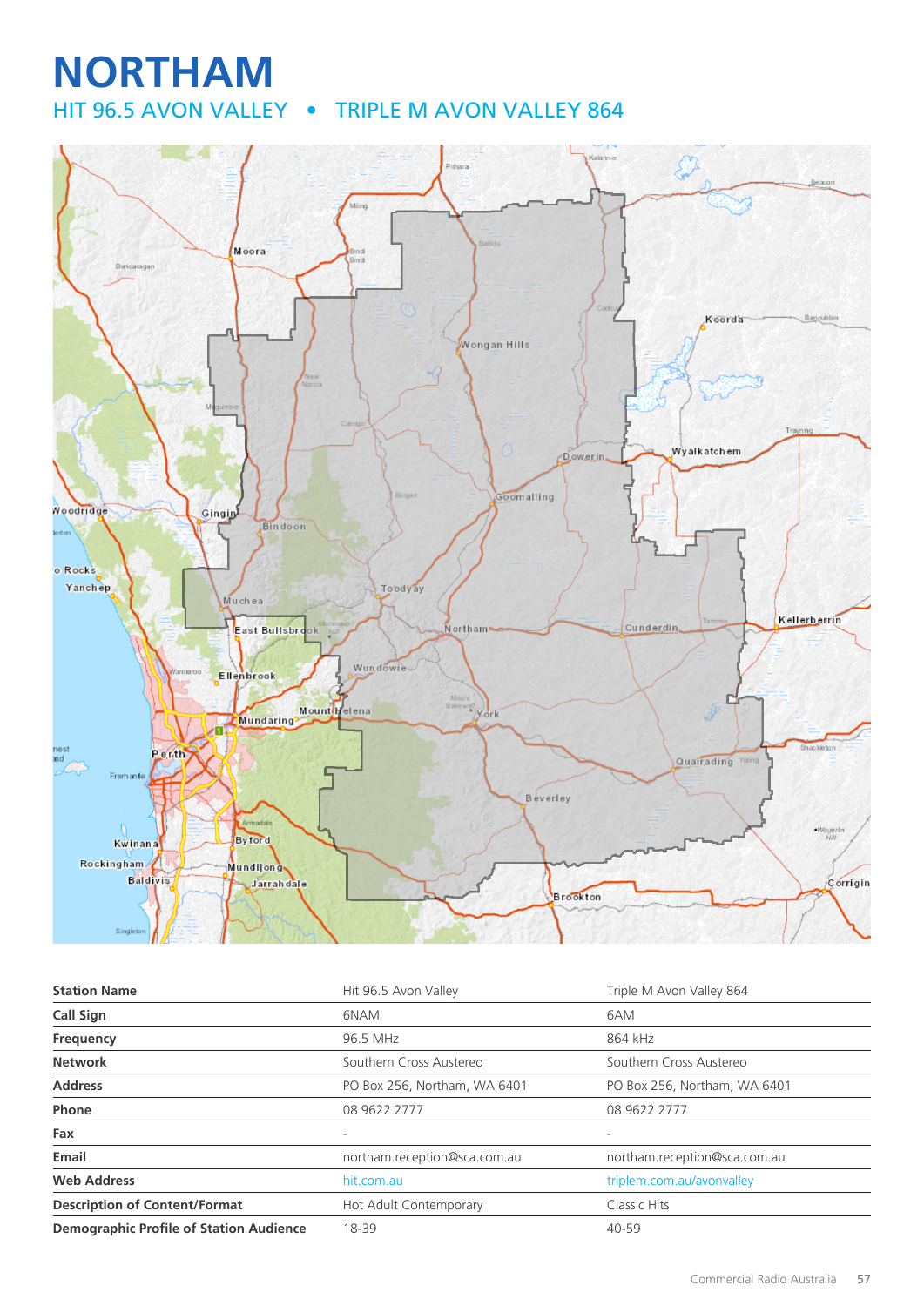# **NORTHAM**

HIT 96.5 AVON VALLEY • TRIPLE M AVON VALLEY 864



| <b>Station Name</b>                            | Hit 96.5 Avon Valley         | Triple M Avon Valley 864     |
|------------------------------------------------|------------------------------|------------------------------|
| <b>Call Sign</b>                               | 6NAM                         | 6AM                          |
| Frequency                                      | 96.5 MHz                     | 864 kHz                      |
| <b>Network</b>                                 | Southern Cross Austereo      | Southern Cross Austereo      |
| <b>Address</b>                                 | PO Box 256, Northam, WA 6401 | PO Box 256, Northam, WA 6401 |
| <b>Phone</b>                                   | 08 9622 2777                 | 08 9622 2777                 |
| Fax                                            | $\overline{\phantom{0}}$     | $\overline{\phantom{a}}$     |
| Email                                          | northam.reception@sca.com.au | northam.reception@sca.com.au |
| <b>Web Address</b>                             | hit.com.au                   | triplem.com.au/avonvalley    |
| <b>Description of Content/Format</b>           | Hot Adult Contemporary       | Classic Hits                 |
| <b>Demographic Profile of Station Audience</b> | 18-39                        | 40-59                        |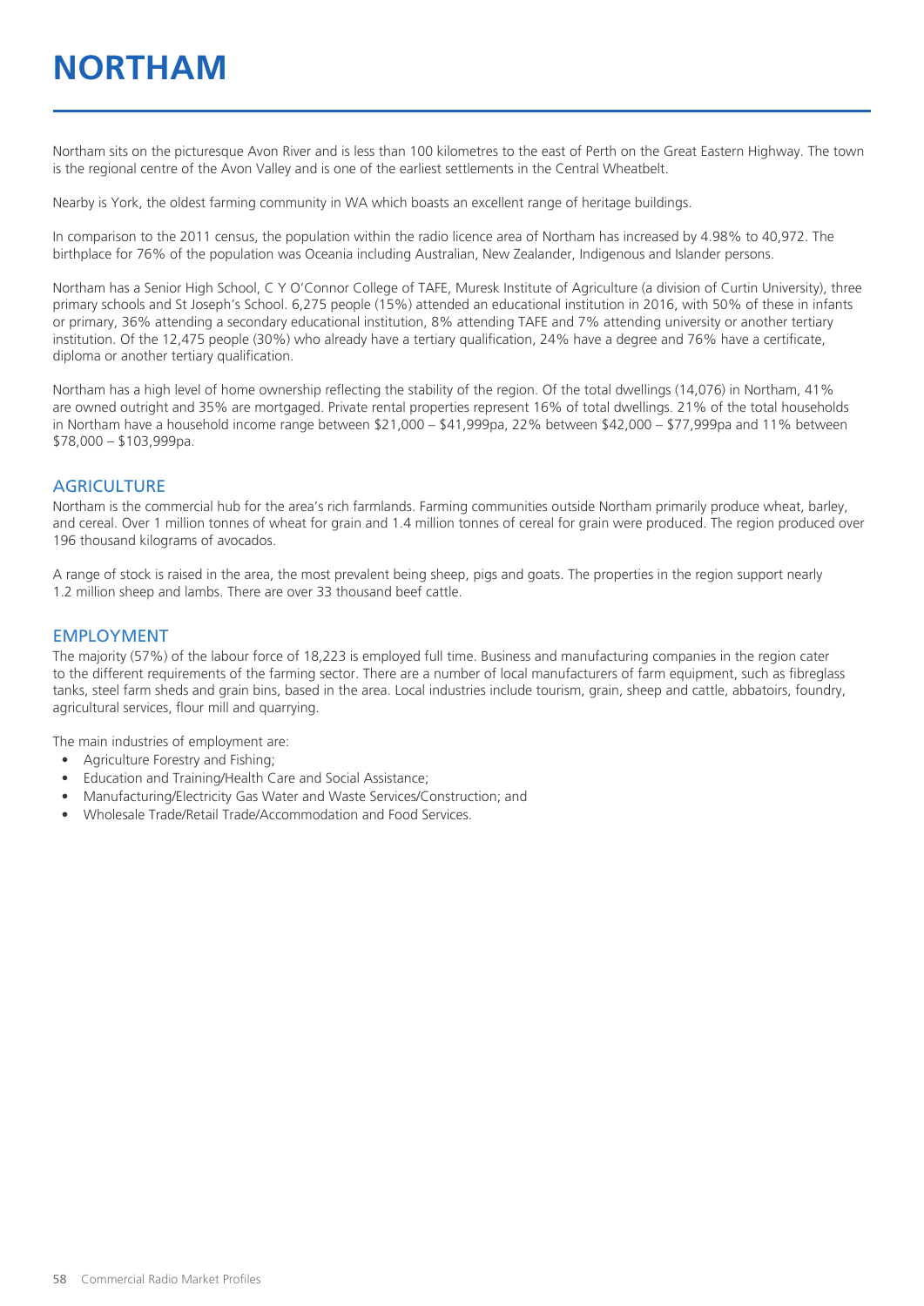## **NORTHAM**

Northam sits on the picturesque Avon River and is less than 100 kilometres to the east of Perth on the Great Eastern Highway. The town is the regional centre of the Avon Valley and is one of the earliest settlements in the Central Wheatbelt.

Nearby is York, the oldest farming community in WA which boasts an excellent range of heritage buildings.

In comparison to the 2011 census, the population within the radio licence area of Northam has increased by 4.98% to 40,972. The birthplace for 76% of the population was Oceania including Australian, New Zealander, Indigenous and Islander persons.

Northam has a Senior High School, C Y O'Connor College of TAFE, Muresk Institute of Agriculture (a division of Curtin University), three primary schools and St Joseph's School. 6,275 people (15%) attended an educational institution in 2016, with 50% of these in infants or primary, 36% attending a secondary educational institution, 8% attending TAFE and 7% attending university or another tertiary institution. Of the 12,475 people (30%) who already have a tertiary qualification, 24% have a degree and 76% have a certificate, diploma or another tertiary qualification.

Northam has a high level of home ownership reflecting the stability of the region. Of the total dwellings (14,076) in Northam, 41% are owned outright and 35% are mortgaged. Private rental properties represent 16% of total dwellings. 21% of the total households in Northam have a household income range between \$21,000 – \$41,999pa, 22% between \$42,000 – \$77,999pa and 11% between \$78,000 – \$103,999pa.

#### **AGRICULTURE**

Northam is the commercial hub for the area's rich farmlands. Farming communities outside Northam primarily produce wheat, barley, and cereal. Over 1 million tonnes of wheat for grain and 1.4 million tonnes of cereal for grain were produced. The region produced over 196 thousand kilograms of avocados.

A range of stock is raised in the area, the most prevalent being sheep, pigs and goats. The properties in the region support nearly 1.2 million sheep and lambs. There are over 33 thousand beef cattle.

#### EMPLOYMENT

The majority (57%) of the labour force of 18,223 is employed full time. Business and manufacturing companies in the region cater to the different requirements of the farming sector. There are a number of local manufacturers of farm equipment, such as fibreglass tanks, steel farm sheds and grain bins, based in the area. Local industries include tourism, grain, sheep and cattle, abbatoirs, foundry, agricultural services, flour mill and quarrying.

The main industries of employment are:

- Agriculture Forestry and Fishing;
- Education and Training/Health Care and Social Assistance;
- Manufacturing/Electricity Gas Water and Waste Services/Construction; and
- Wholesale Trade/Retail Trade/Accommodation and Food Services.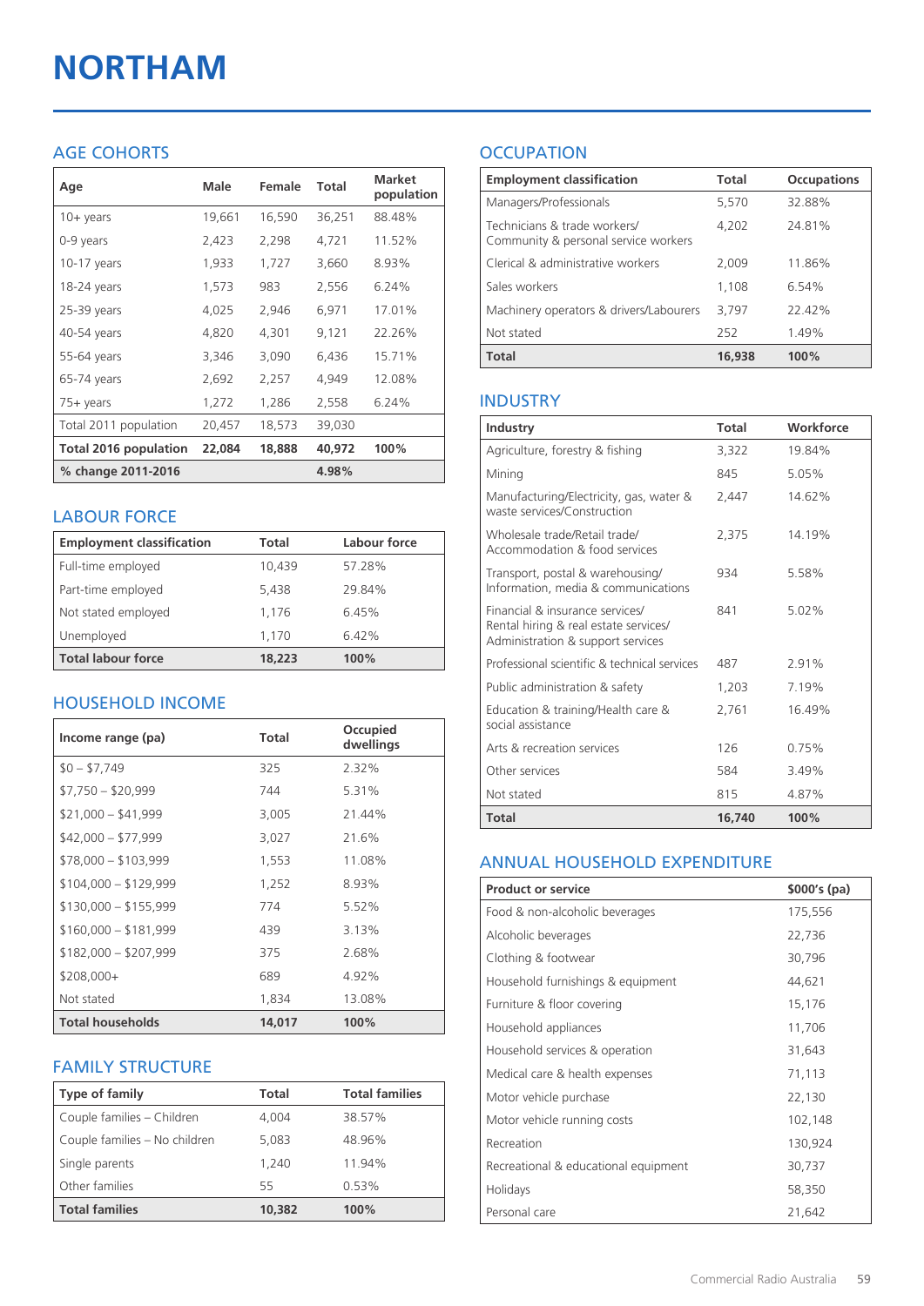# **NORTHAM**

#### AGE COHORTS

| Age                   | Male   | Female | Total  | <b>Market</b><br>population |
|-----------------------|--------|--------|--------|-----------------------------|
| $10 + \gamma$ ears    | 19,661 | 16,590 | 36,251 | 88.48%                      |
| 0-9 years             | 2,423  | 2,298  | 4,721  | 11.52%                      |
| $10-17$ years         | 1,933  | 1,727  | 3,660  | 8.93%                       |
| 18-24 years           | 1,573  | 983    | 2,556  | 6.24%                       |
| 25-39 years           | 4,025  | 2,946  | 6,971  | 17.01%                      |
| 40-54 years           | 4,820  | 4,301  | 9,121  | 22.26%                      |
| 55-64 years           | 3,346  | 3,090  | 6,436  | 15.71%                      |
| 65-74 years           | 2,692  | 2,257  | 4,949  | 12.08%                      |
| 75+ years             | 1,272  | 1,286  | 2,558  | 6.24%                       |
| Total 2011 population | 20,457 | 18,573 | 39,030 |                             |
| Total 2016 population | 22,084 | 18,888 | 40,972 | 100%                        |
| % change 2011-2016    |        |        | 4.98%  |                             |

#### LABOUR FORCE

| <b>Employment classification</b> | Total  | Labour force |
|----------------------------------|--------|--------------|
| Full-time employed               | 10,439 | 57.28%       |
| Part-time employed               | 5,438  | 29.84%       |
| Not stated employed              | 1.176  | 6.45%        |
| Unemployed                       | 1,170  | 6.42%        |
| <b>Total labour force</b>        | 18,223 | 100%         |

#### HOUSEHOLD INCOME

| Income range (pa)       | <b>Total</b> | Occupied<br>dwellings |
|-------------------------|--------------|-----------------------|
| $$0 - $7,749$           | 325          | 2.32%                 |
| $$7,750 - $20,999$      | 744          | 5.31%                 |
| $$21,000 - $41,999$     | 3,005        | 21.44%                |
| $$42,000 - $77,999$     | 3,027        | 21.6%                 |
| $$78,000 - $103,999$    | 1,553        | 11.08%                |
| $$104,000 - $129,999$   | 1,252        | 8.93%                 |
| $$130,000 - $155,999$   | 774          | 5.52%                 |
| $$160,000 - $181,999$   | 439          | 3.13%                 |
| $$182,000 - $207,999$   | 375          | 2.68%                 |
| $$208,000+$             | 689          | 4.92%                 |
| Not stated              | 1,834        | 13.08%                |
| <b>Total households</b> | 14,017       | 100%                  |

#### FAMILY STRUCTURE

| Type of family                | Total  | <b>Total families</b> |
|-------------------------------|--------|-----------------------|
| Couple families - Children    | 4.004  | 38.57%                |
| Couple families - No children | 5,083  | 48.96%                |
| Single parents                | 1.240  | 11.94%                |
| Other families                | 55     | 0.53%                 |
| <b>Total families</b>         | 10,382 | 100%                  |

### **OCCUPATION**

| <b>Employment classification</b>                                     | Total  | <b>Occupations</b> |
|----------------------------------------------------------------------|--------|--------------------|
| Managers/Professionals                                               | 5,570  | 32.88%             |
| Technicians & trade workers/<br>Community & personal service workers | 4,202  | 24.81%             |
| Clerical & administrative workers                                    | 2,009  | 11.86%             |
| Sales workers                                                        | 1,108  | 6.54%              |
| Machinery operators & drivers/Labourers                              | 3,797  | 2242%              |
| Not stated                                                           | 252    | 1.49%              |
| <b>Total</b>                                                         | 16,938 | 100%               |

#### INDUSTRY

| Industry                                                                                                      | <b>Total</b> | Workforce |
|---------------------------------------------------------------------------------------------------------------|--------------|-----------|
| Agriculture, forestry & fishing                                                                               | 3,322        | 19.84%    |
| Mining                                                                                                        | 845          | 5.05%     |
| Manufacturing/Electricity, gas, water &<br>waste services/Construction                                        | 2,447        | 14.62%    |
| Wholesale trade/Retail trade/<br>Accommodation & food services                                                | 2,375        | 14.19%    |
| Transport, postal & warehousing/<br>Information, media & communications                                       | 934          | 5.58%     |
| Financial & insurance services/<br>Rental hiring & real estate services/<br>Administration & support services | 841          | 5.02%     |
| Professional scientific & technical services                                                                  | 487          | 291%      |
| Public administration & safety                                                                                | 1,203        | 7.19%     |
| Education & training/Health care &<br>social assistance                                                       | 2,761        | 16.49%    |
| Arts & recreation services                                                                                    | 126          | 0.75%     |
| Other services                                                                                                | 584          | 3.49%     |
| Not stated                                                                                                    | 815          | 4.87%     |
| Total                                                                                                         | 16,740       | 100%      |

#### ANNUAL HOUSEHOLD EXPENDITURE

| <b>Product or service</b>            | $$000's$ (pa) |
|--------------------------------------|---------------|
| Food & non-alcoholic beverages       | 175,556       |
| Alcoholic beverages                  | 22,736        |
| Clothing & footwear                  | 30,796        |
| Household furnishings & equipment    | 44,621        |
| Furniture & floor covering           | 15,176        |
| Household appliances                 | 11,706        |
| Household services & operation       | 31,643        |
| Medical care & health expenses       | 71,113        |
| Motor vehicle purchase               | 22,130        |
| Motor vehicle running costs          | 102,148       |
| Recreation                           | 130,924       |
| Recreational & educational equipment | 30,737        |
| Holidays                             | 58,350        |
| Personal care                        | 21,642        |